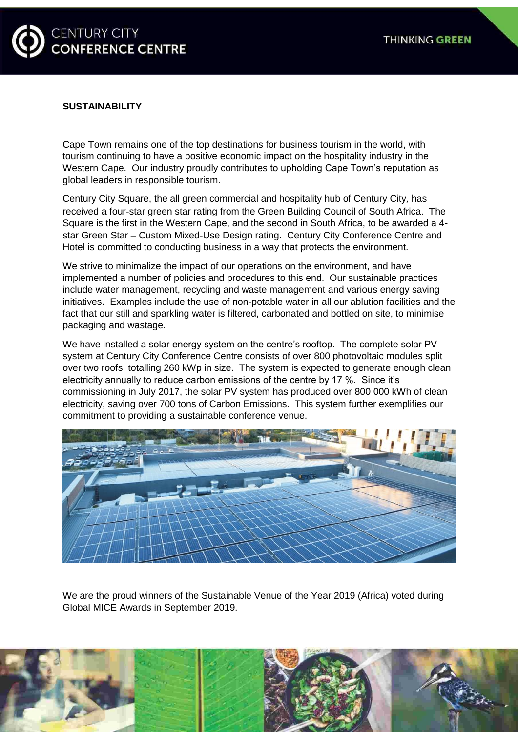



## **SUSTAINABILITY**

Cape Town remains one of the top destinations for business tourism in the world, with tourism continuing to have a positive economic impact on the hospitality industry in the Western Cape. Our industry proudly contributes to upholding Cape Town's reputation as global leaders in responsible tourism.

Century City Square, the all green commercial and hospitality hub of Century City, has received a four-star green star rating from the Green Building Council of South Africa. The Square is the first in the Western Cape, and the second in South Africa, to be awarded a 4 star Green Star – Custom Mixed-Use Design rating. Century City Conference Centre and Hotel is committed to conducting business in a way that protects the environment.

We strive to minimalize the impact of our operations on the environment, and have implemented a number of policies and procedures to this end. Our sustainable practices include water management, recycling and waste management and various energy saving initiatives. Examples include the use of non-potable water in all our ablution facilities and the fact that our still and sparkling water is filtered, carbonated and bottled on site, to minimise packaging and wastage.

We have installed a solar energy system on the centre's rooftop. The complete solar PV system at Century City Conference Centre consists of over 800 photovoltaic modules split over two roofs, totalling 260 kWp in size. The system is expected to generate enough clean electricity annually to reduce carbon emissions of the centre by 17 %. Since it's commissioning in July 2017, the solar PV system has produced over 800 000 kWh of clean electricity, saving over 700 tons of Carbon Emissions. This system further exemplifies our commitment to providing a sustainable conference venue.



We are the proud winners of the Sustainable Venue of the Year 2019 (Africa) voted during Global MICE Awards in September 2019.

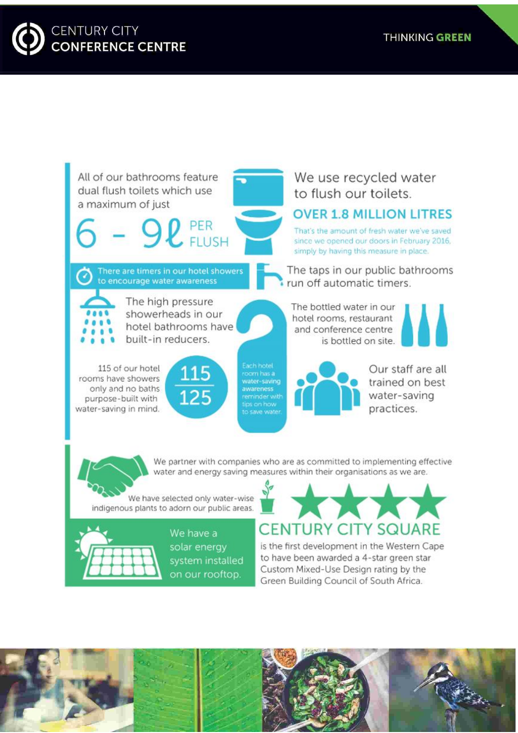